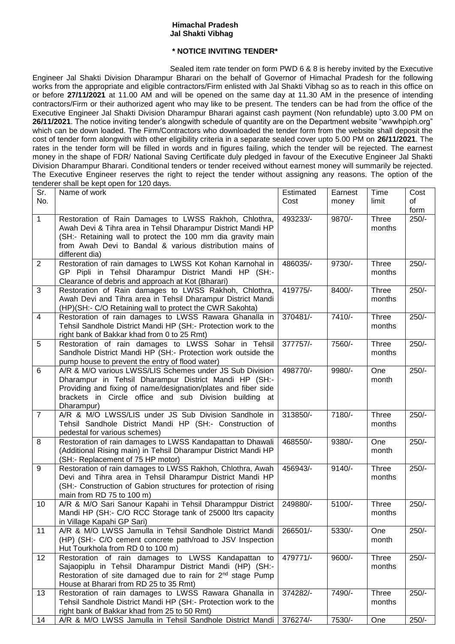## **Himachal Pradesh Jal Shakti Vibhag**

## **\* NOTICE INVITING TENDER\***

Sealed item rate tender on form PWD 6 & 8 is hereby invited by the Executive Engineer Jal Shakti Division Dharampur Bharari on the behalf of Governor of Himachal Pradesh for the following works from the appropriate and eligible contractors/Firm enlisted with Jal Shakti Vibhag so as to reach in this office on or before **27/11/2021** at 11.00 AM and will be opened on the same day at 11.30 AM in the presence of intending contractors/Firm or their authorized agent who may like to be present. The tenders can be had from the office of the Executive Engineer Jal Shakti Division Dharampur Bharari against cash payment (Non refundable) upto 3.00 PM on **26/11/2021**. The notice inviting tender's alongwith schedule of quantity are on the Department website "wwwhpiph.org" which can be down loaded. The Firm/Contractors who downloaded the tender form from the website shall deposit the cost of tender form alongwith with other eligibility criteria in a separate sealed cover upto 5.00 PM on **26/11/2021**. The rates in the tender form will be filled in words and in figures failing, which the tender will be rejected. The earnest money in the shape of FDR/ National Saving Certificate duly pledged in favour of the Executive Engineer Jal Shakti Division Dharampur Bharari. Conditional tenders or tender received without earnest money will summarily be rejected. The Executive Engineer reserves the right to reject the tender without assigning any reasons. The option of the tenderer shall be kept open for 120 days.

|                | $\frac{1}{2}$                                                          |           |          |        |         |
|----------------|------------------------------------------------------------------------|-----------|----------|--------|---------|
| Sr.            | Name of work                                                           | Estimated | Earnest  | Time   | Cost    |
| No.            |                                                                        | Cost      | money    | limit  | of      |
|                |                                                                        |           |          |        | form    |
| $\mathbf{1}$   | Restoration of Rain Damages to LWSS Rakhoh, Chlothra,                  | 493233/-  | 9870/-   | Three  | $250/-$ |
|                | Awah Devi & Tihra area in Tehsil Dharampur District Mandi HP           |           |          | months |         |
|                |                                                                        |           |          |        |         |
|                | (SH:- Retaining wall to protect the 100 mm dia gravity main            |           |          |        |         |
|                | from Awah Devi to Bandal & various distribution mains of               |           |          |        |         |
|                | different dia)                                                         |           |          |        |         |
| $\overline{2}$ | Restoration of rain damages to LWSS Kot Kohan Karnohal in              | 486035/-  | 9730/-   | Three  | $250/-$ |
|                | GP Pipli in Tehsil Dharampur District Mandi HP (SH:-                   |           |          | months |         |
|                | Clearance of debris and approach at Kot (Bharari)                      |           |          |        |         |
| 3              | Restoration of Rain damages to LWSS Rakhoh, Chlothra,                  | 419775/-  | 8400/-   | Three  | $250/-$ |
|                | Awah Devi and Tihra area in Tehsil Dharampur District Mandi            |           |          | months |         |
|                |                                                                        |           |          |        |         |
|                | (HP)(SH:- C/O Retaining wall to protect the CWR Sakohta)               |           |          |        |         |
| 4              | Restoration of rain damages to LWSS Rawara Ghanalla in                 | 370481/-  | 7410/-   | Three  | $250/-$ |
|                | Tehsil Sandhole District Mandi HP (SH:- Protection work to the         |           |          | months |         |
|                | right bank of Bakkar khad from 0 to 25 Rmt)                            |           |          |        |         |
| 5              | Restoration of rain damages to LWSS Sohar in Tehsil                    | 377757/-  | 7560/-   | Three  | $250/-$ |
|                | Sandhole District Mandi HP (SH:- Protection work outside the           |           |          | months |         |
|                | pump house to prevent the entry of flood water)                        |           |          |        |         |
| 6              | A/R & M/O various LWSS/LIS Schemes under JS Sub Division               | 498770/-  | 9980/-   | One    | $250/-$ |
|                | Dharampur in Tehsil Dharampur District Mandi HP (SH:-                  |           |          | month  |         |
|                |                                                                        |           |          |        |         |
|                | Providing and fixing of name/designation/plates and fiber side         |           |          |        |         |
|                | brackets in Circle office and sub Division building at                 |           |          |        |         |
|                | Dharampur)                                                             |           |          |        |         |
| $\overline{7}$ | A/R & M/O LWSS/LIS under JS Sub Division Sandhole in                   | 313850/-  | 7180/-   | Three  | $250/-$ |
|                | Tehsil Sandhole District Mandi HP (SH:- Construction of                |           |          | months |         |
|                | pedestal for various schemes)                                          |           |          |        |         |
| 8              | Restoration of rain damages to LWSS Kandapattan to Dhawali             | 468550/-  | 9380/-   | One    | $250/-$ |
|                | (Additional Rising main) in Tehsil Dharampur District Mandi HP         |           |          | month  |         |
|                | (SH:- Replacement of 75 HP motor)                                      |           |          |        |         |
| 9              | Restoration of rain damages to LWSS Rakhoh, Chlothra, Awah             | 456943/-  | $9140/-$ | Three  | $250/-$ |
|                |                                                                        |           |          |        |         |
|                | Devi and Tihra area in Tehsil Dharampur District Mandi HP              |           |          | months |         |
|                | (SH:- Construction of Gabion structures for protection of rising       |           |          |        |         |
|                | main from RD 75 to 100 m)                                              |           |          |        |         |
| 10             | A/R & M/O Sari Sanour Kapahi in Tehsil Dharamppur District             | 249880/-  | 5100/-   | Three  | $250/-$ |
|                | Mandi HP (SH:- C/O RCC Storage tank of 25000 ltrs capacity             |           |          | months |         |
|                | in Village Kapahi GP Sari)                                             |           |          |        |         |
| 11             | A/R & M/O LWSS Jamulla in Tehsil Sandhole District Mandi               | 266501/-  | 5330/-   | One    | 250/-   |
|                | (HP) (SH:- C/O cement concrete path/road to JSV Inspection             |           |          | month  |         |
|                | Hut Tourkhola from RD 0 to 100 m)                                      |           |          |        |         |
| 12             | Restoration of rain damages to LWSS Kandapattan to                     | 479771/-  | 9600/-   | Three  | $250/-$ |
|                |                                                                        |           |          |        |         |
|                | Sajaopiplu in Tehsil Dharampur District Mandi (HP) (SH:-               |           |          | months |         |
|                | Restoration of site damaged due to rain for 2 <sup>nd</sup> stage Pump |           |          |        |         |
|                | House at Bharari from RD 25 to 35 Rmt)                                 |           |          |        |         |
| 13             | Restoration of rain damages to LWSS Rawara Ghanalla in                 | 374282/-  | 7490/-   | Three  | $250/-$ |
|                | Tehsil Sandhole District Mandi HP (SH:- Protection work to the         |           |          | months |         |
|                | right bank of Bakkar khad from 25 to 50 Rmt)                           |           |          |        |         |
| 14             | A/R & M/O LWSS Jamulla in Tehsil Sandhole District Mandi               | 376274/-  | 7530/-   | One    | $250/-$ |